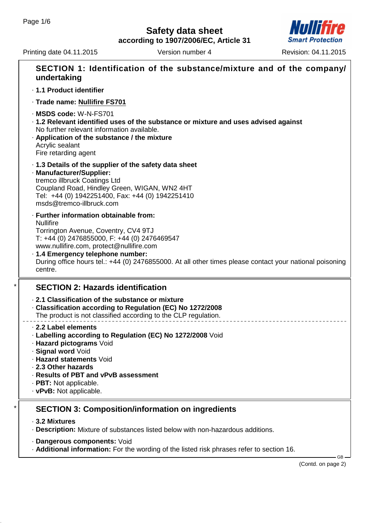# **Safety data sheet**

**according to 1907/2006/EC, Article 31**

Printing date 04.11.2015 Version number 4 Revision: 04.11.2015



| SECTION 1: Identification of the substance/mixture and of the company/<br>undertaking                                                                                                                                                                                                                                                                     |  |  |  |  |
|-----------------------------------------------------------------------------------------------------------------------------------------------------------------------------------------------------------------------------------------------------------------------------------------------------------------------------------------------------------|--|--|--|--|
| · 1.1 Product identifier                                                                                                                                                                                                                                                                                                                                  |  |  |  |  |
| · Trade name: Nullifire FS701                                                                                                                                                                                                                                                                                                                             |  |  |  |  |
| · MSDS code: W-N-FS701<br>. 1.2 Relevant identified uses of the substance or mixture and uses advised against<br>No further relevant information available.<br>. Application of the substance / the mixture<br>Acrylic sealant<br>Fire retarding agent                                                                                                    |  |  |  |  |
| 1.3 Details of the supplier of the safety data sheet<br>· Manufacturer/Supplier:<br>tremco illbruck Coatings Ltd<br>Coupland Road, Hindley Green, WIGAN, WN2 4HT<br>Tel: +44 (0) 1942251400, Fax: +44 (0) 1942251410<br>msds@tremco-illbruck.com                                                                                                          |  |  |  |  |
| · Further information obtainable from:<br><b>Nullifire</b><br>Torrington Avenue, Coventry, CV4 9TJ<br>T: +44 (0) 2476855000, F: +44 (0) 2476469547<br>www.nullifire.com, protect@nullifire.com<br>· 1.4 Emergency telephone number:<br>During office hours tel.: +44 (0) 2476855000. At all other times please contact your national poisoning<br>centre. |  |  |  |  |
| <b>SECTION 2: Hazards identification</b>                                                                                                                                                                                                                                                                                                                  |  |  |  |  |
| 2.1 Classification of the substance or mixture<br>Classification according to Regulation (EC) No 1272/2008<br>The product is not classified according to the CLP regulation.                                                                                                                                                                              |  |  |  |  |
| 2.2 Label elements<br>. Labelling according to Regulation (EC) No 1272/2008 Void<br>· Hazard pictograms Void<br>· Signal word Void<br>· Hazard statements Void<br>2.3 Other hazards<br>· Results of PBT and vPvB assessment<br>$\cdot$ PBT: Not applicable.<br>$\cdot$ vPvB: Not applicable.                                                              |  |  |  |  |
| <b>SECTION 3: Composition/information on ingredients</b>                                                                                                                                                                                                                                                                                                  |  |  |  |  |
| ⋅ 3.2 Mixtures<br>· Description: Mixture of substances listed below with non-hazardous additions.                                                                                                                                                                                                                                                         |  |  |  |  |
| · Dangerous components: Void<br><b>Additional information:</b> For the wording of the listed risk phrases refer to section 16.                                                                                                                                                                                                                            |  |  |  |  |
| $GB -$<br>(Contd. on page 2)                                                                                                                                                                                                                                                                                                                              |  |  |  |  |
|                                                                                                                                                                                                                                                                                                                                                           |  |  |  |  |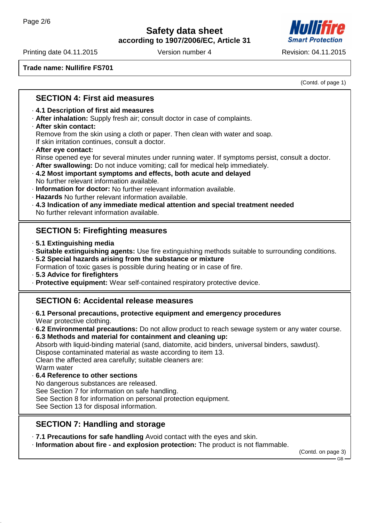### **Safety data sheet according to 1907/2006/EC, Article 31**

Printing date 04.11.2015 Version number 4 Revision: 04.11.2015

**Trade name: Nullifire FS701**

(Contd. of page 1)

### **SECTION 4: First aid measures**

#### · **4.1 Description of first aid measures**

- · **After inhalation:** Supply fresh air; consult doctor in case of complaints.
- · **After skin contact:** Remove from the skin using a cloth or paper. Then clean with water and soap.

If skin irritation continues, consult a doctor.

- · **After eye contact:** Rinse opened eye for several minutes under running water. If symptoms persist, consult a doctor.
- · **After swallowing:** Do not induce vomiting; call for medical help immediately.
- · **4.2 Most important symptoms and effects, both acute and delayed** No further relevant information available.
- · **Information for doctor:** No further relevant information available.
- · **Hazards** No further relevant information available.
- · **4.3 Indication of any immediate medical attention and special treatment needed** No further relevant information available.

# **SECTION 5: Firefighting measures**

- · **5.1 Extinguishing media**
- · **Suitable extinguishing agents:** Use fire extinguishing methods suitable to surrounding conditions.
- · **5.2 Special hazards arising from the substance or mixture**
- Formation of toxic gases is possible during heating or in case of fire.
- · **5.3 Advice for firefighters**
- · **Protective equipment:** Wear self-contained respiratory protective device.

### **SECTION 6: Accidental release measures**

- · **6.1 Personal precautions, protective equipment and emergency procedures** Wear protective clothing.
- · **6.2 Environmental precautions:** Do not allow product to reach sewage system or any water course.
- · **6.3 Methods and material for containment and cleaning up:**
- Absorb with liquid-binding material (sand, diatomite, acid binders, universal binders, sawdust).

Dispose contaminated material as waste according to item 13.

Clean the affected area carefully; suitable cleaners are:

- Warm water
- · **6.4 Reference to other sections**

No dangerous substances are released.

See Section 7 for information on safe handling.

See Section 8 for information on personal protection equipment.

See Section 13 for disposal information.

# **SECTION 7: Handling and storage**

· **7.1 Precautions for safe handling** Avoid contact with the eyes and skin.

· **Information about fire - and explosion protection:** The product is not flammable.

(Contd. on page 3)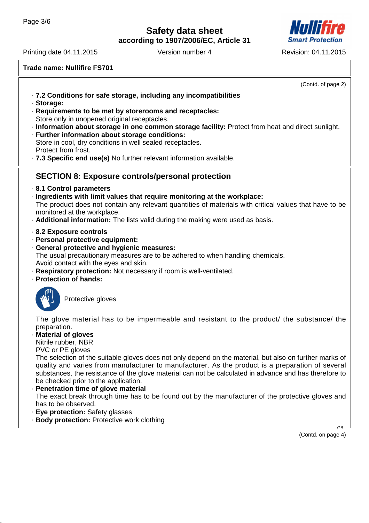# **Safety data sheet**

**according to 1907/2006/EC, Article 31**

Printing date 04.11.2015 Version number 4 Revision: 04.11.2015

**Trade name: Nullifire FS701**

(Contd. of page 2) · **7.2 Conditions for safe storage, including any incompatibilities** · **Storage:** · **Requirements to be met by storerooms and receptacles:** Store only in unopened original receptacles. · **Information about storage in one common storage facility:** Protect from heat and direct sunlight. · **Further information about storage conditions:** Store in cool, dry conditions in well sealed receptacles. Protect from frost. · **7.3 Specific end use(s)** No further relevant information available. **SECTION 8: Exposure controls/personal protection** · **8.1 Control parameters** · **Ingredients with limit values that require monitoring at the workplace:** The product does not contain any relevant quantities of materials with critical values that have to be monitored at the workplace. · **Additional information:** The lists valid during the making were used as basis. · **8.2 Exposure controls** · **Personal protective equipment:** · **General protective and hygienic measures:** The usual precautionary measures are to be adhered to when handling chemicals. Avoid contact with the eyes and skin. · **Respiratory protection:** Not necessary if room is well-ventilated. · **Protection of hands:** Protective gloves The glove material has to be impermeable and resistant to the product/ the substance/ the preparation. · **Material of gloves** Nitrile rubber, NBR PVC or PE gloves The selection of the suitable gloves does not only depend on the material, but also on further marks of quality and varies from manufacturer to manufacturer. As the product is a preparation of several substances, the resistance of the glove material can not be calculated in advance and has therefore to be checked prior to the application. **Penetration time of glove material** The exact break through time has to be found out by the manufacturer of the protective gloves and has to be observed.

- · **Eye protection:** Safety glasses
- · **Body protection:** Protective work clothing

(Contd. on page 4)

GB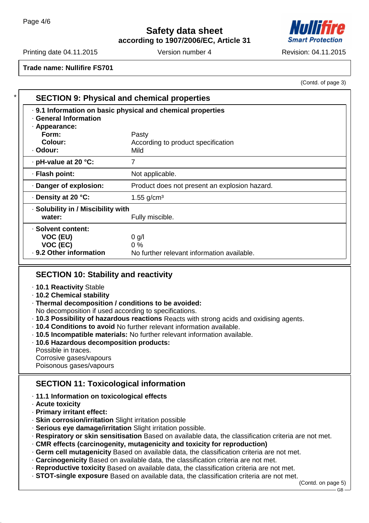# **Safety data sheet**

**according to 1907/2006/EC, Article 31**



(Contd. of page 3)

Printing date 04.11.2015 Version number 4 Revision: 04.11.2015

**Trade name: Nullifire FS701**

| <b>SECTION 9: Physical and chemical properties</b>                                                    |                                               |  |  |  |
|-------------------------------------------------------------------------------------------------------|-----------------------------------------------|--|--|--|
| . 9.1 Information on basic physical and chemical properties<br>· General Information<br>· Appearance: |                                               |  |  |  |
| Form:                                                                                                 | Pasty                                         |  |  |  |
| Colour:                                                                                               | According to product specification            |  |  |  |
| · Odour:                                                                                              | <b>Mild</b>                                   |  |  |  |
| $\cdot$ pH-value at 20 $\degree$ C:                                                                   | 7                                             |  |  |  |
| · Flash point:                                                                                        | Not applicable.                               |  |  |  |
| Danger of explosion:                                                                                  | Product does not present an explosion hazard. |  |  |  |
| ⋅ Density at 20 °C:                                                                                   | 1.55 $g/cm3$                                  |  |  |  |
| · Solubility in / Miscibility with                                                                    |                                               |  |  |  |
| water:                                                                                                | Fully miscible.                               |  |  |  |
| · Solvent content:                                                                                    |                                               |  |  |  |
| VOC (EU)                                                                                              | $0$ g/l                                       |  |  |  |
| VOC (EC)                                                                                              | $0\%$                                         |  |  |  |
| . 9.2 Other information                                                                               | No further relevant information available.    |  |  |  |

# **SECTION 10: Stability and reactivity**

- · **10.1 Reactivity** Stable
- · **10.2 Chemical stability**
- · **Thermal decomposition / conditions to be avoided:**
- No decomposition if used according to specifications.
- · **10.3 Possibility of hazardous reactions** Reacts with strong acids and oxidising agents.
- · **10.4 Conditions to avoid** No further relevant information available.
- · **10.5 Incompatible materials:** No further relevant information available.
- · **10.6 Hazardous decomposition products:**
- Possible in traces.
- Corrosive gases/vapours
- Poisonous gases/vapours

# **SECTION 11: Toxicological information**

- · **11.1 Information on toxicological effects**
- · **Acute toxicity**
- · **Primary irritant effect:**
- · **Skin corrosion/irritation** Slight irritation possible
- · **Serious eye damage/irritation** Slight irritation possible.
- · **Respiratory or skin sensitisation** Based on available data, the classification criteria are not met.
- · **CMR effects (carcinogenity, mutagenicity and toxicity for reproduction)**
- · **Germ cell mutagenicity** Based on available data, the classification criteria are not met.
- · **Carcinogenicity** Based on available data, the classification criteria are not met.
- · **Reproductive toxicity** Based on available data, the classification criteria are not met.
- · **STOT-single exposure** Based on available data, the classification criteria are not met.

GB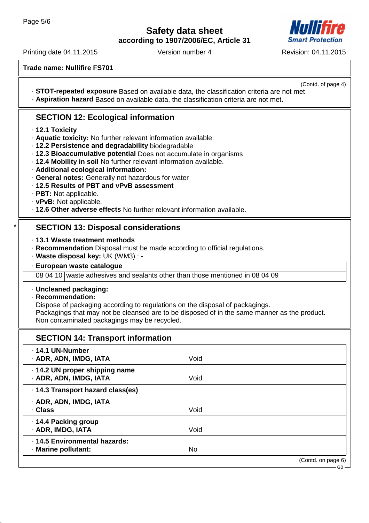**Safety data sheet according to 1907/2006/EC, Article 31**

Printing date 04.11.2015 Version number 4 Revision: 04.11.2015

**Trade name: Nullifire FS701**

(Contd. of page 4) · **STOT-repeated exposure** Based on available data, the classification criteria are not met.

· **Aspiration hazard** Based on available data, the classification criteria are not met.

# **SECTION 12: Ecological information**

- · **12.1 Toxicity**
- · **Aquatic toxicity:** No further relevant information available.
- · **12.2 Persistence and degradability** biodegradable
- · **12.3 Bioaccumulative potential** Does not accumulate in organisms
- · **12.4 Mobility in soil** No further relevant information available.
- · **Additional ecological information:**
- · **General notes:** Generally not hazardous for water
- · **12.5 Results of PBT and vPvB assessment**
- · **PBT:** Not applicable.
- · **vPvB:** Not applicable.
- · **12.6 Other adverse effects** No further relevant information available.

# **SECTION 13: Disposal considerations**

- · **13.1 Waste treatment methods**
- · **Recommendation** Disposal must be made according to official regulations.
- · **Waste disposal key:** UK (WM3) : -
- · **European waste catalogue**

08 04 10 waste adhesives and sealants other than those mentioned in 08 04 09

#### · **Uncleaned packaging:**

#### · **Recommendation:**

Dispose of packaging according to regulations on the disposal of packagings. Packagings that may not be cleansed are to be disposed of in the same manner as the product. Non contaminated packagings may be recycled.

| <b>SECTION 14: Transport information</b>                 |      |                              |
|----------------------------------------------------------|------|------------------------------|
| . 14.1 UN-Number<br>· ADR, ADN, IMDG, IATA               | Void |                              |
| . 14.2 UN proper shipping name<br>· ADR, ADN, IMDG, IATA | Void |                              |
| · 14.3 Transport hazard class(es)                        |      |                              |
| · ADR, ADN, IMDG, IATA<br>· Class                        | Void |                              |
| · 14.4 Packing group<br>· ADR, IMDG, IATA                | Void |                              |
| · 14.5 Environmental hazards:<br>· Marine pollutant:     | No   |                              |
|                                                          |      | (Contd. on page 6)<br>$GB -$ |